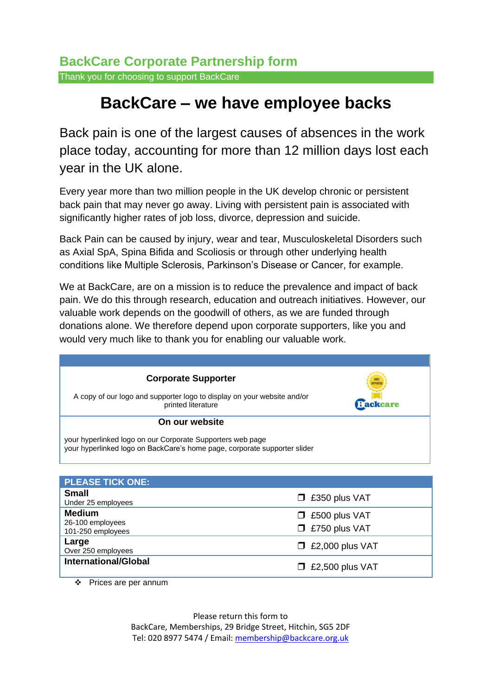## **BackCare – we have employee backs**

Back pain is one of the largest causes of absences in the work place today, accounting for more than 12 million days lost each year in the UK alone.

Every year more than two million people in the UK develop chronic or persistent back pain that may never go away. Living with persistent pain is associated with significantly higher rates of job loss, divorce, depression and suicide.

Back Pain can be caused by injury, wear and tear, Musculoskeletal Disorders such as Axial SpA, Spina Bifida and Scoliosis or through other underlying health conditions like Multiple Sclerosis, Parkinson's Disease or Cancer, for example.

We at BackCare, are on a mission is to reduce the prevalence and impact of back pain. We do this through research, education and outreach initiatives. However, our valuable work depends on the goodwill of others, as we are funded through donations alone. We therefore depend upon corporate supporters, like you and would very much like to thank you for enabling our valuable work.

| <b>Corporate Supporter</b>                                                                                                              | <b>GOLD</b><br><b>JIPPORTE</b> |  |
|-----------------------------------------------------------------------------------------------------------------------------------------|--------------------------------|--|
| A copy of our logo and supporter logo to display on your website and/or<br>printed literature                                           |                                |  |
| On our website                                                                                                                          |                                |  |
| your hyperlinked logo on our Corporate Supporters web page<br>your hyperlinked logo on BackCare's home page, corporate supporter slider |                                |  |
|                                                                                                                                         |                                |  |
| <b>PLEASE TICK ONE:</b>                                                                                                                 |                                |  |
| <b>Small</b><br>Under 25 employees                                                                                                      | £350 plus VAT                  |  |
| Medium                                                                                                                                  | — CEAQ - L.- 178               |  |

| Medium<br>26-100 employees  | $\Box$ £500 plus VAT   |
|-----------------------------|------------------------|
| 101-250 employees           | $\Box$ £750 plus VAT   |
| Large<br>Over 250 employees | $\Box$ £2,000 plus VAT |
| <b>International/Global</b> | $\Box$ £2,500 plus VAT |

❖ Prices are per annum

Please return this form to BackCare, Memberships, 29 Bridge Street, Hitchin, SG5 2DF Tel: 020 8977 5474 / Email: [membership@backcare.org.uk](mailto:membership@backcare.org.uk)